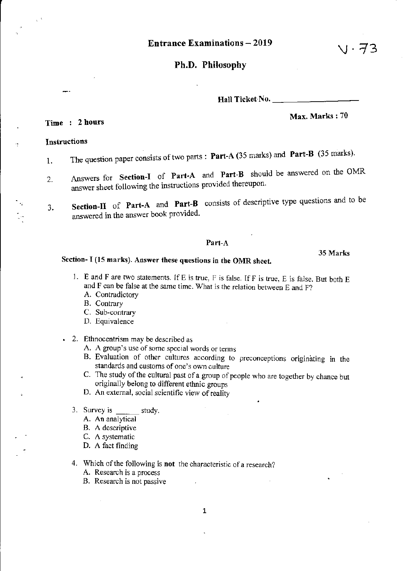# Ph.D. Philosophy

Hall Ticket No.

# Max. Marks: 70

い・そろ

35 Marks

# Time : 2 hours

### Instructions

- 1. The question paper consists of two parts: Part-A (35 marks) and Part-B (35 marks).
- 2. Answers for Section-I of Part-A and Part-B should be answered on the OMR answer sheet following the instructions provided thereupon.
- , J. Section-II of Part-A and Part-B consists of descriptive type questions and to be answered in the answer book provided.

## Part-A

# Section- I (15 marks). Answer these questions in the OMR sheet.

- I. E and F are two statements. If E is true, F is false. If F is true. E is false. But both E and F can be false at the same time. What is the relation between E and F? A. Contradictory
	- B. Contrary
	- C. Sub-contrary
	- D. Equivalence
- 2. Ethnocentrism may be described as
	- A. A group's use of some special words or terms
	- B. Evaluation of other cultures according to preconceptions originating in the standards and customs of one's own culture
	- C. The study of the cultural past of a group of people who are together by chance but originally belong to different ethnic groups
	- D. An external, social scientific view of reality
	- 3. Survey is study.
		- A. An analytical
		- B. A descriptive
		- C. A systematic
		- D. A fact finding
	- 4. Which of the following is not the characteristic of a research? A. Research is a process
		- B. Research is not passive

 $\overline{z}$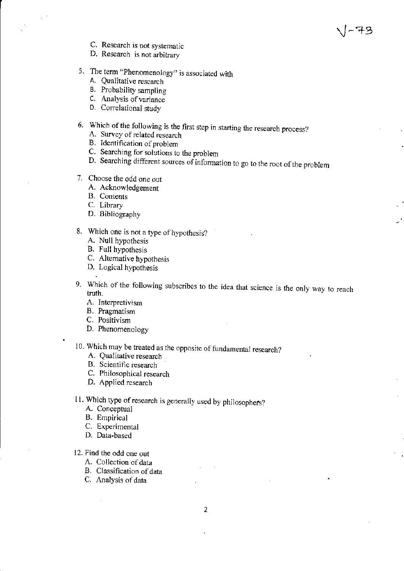- C. Research is not systematic
- D. Research is not arbitrary
- 5. The term "Phenomenology" is associated with
	- A. Qualitative research
	- B. Probability sampling
	- C. Analysis of variance
	- D. Correlational study
- 6. Which of the following is the first step in starting the research process?
	- A. Survey of related research
	- B. Identification of problem
	- C. Searching for solutions to the problem
	- D. Searching different sources of information to go to the root of the problem

-73

- 7. Choose the odd one out
	- A. Acknowledgement
	- B. Contents
	- C. Library
	- D. Bibliography
- 8. Which one is not a type of hypothesis?
	- A. Null hypothesis
	- B. Full hypothesis
	- C. Alternative hypothesis
	- D. Logical hypothesis
- 9. Which of the following subscribes to the idea that science is the only way to reach truth.
	- A. Interpretivism
	- B. Pragmatism
	- C. Positivism
	- D. Phenomenology
- 10. Which may be treated as the opposite of fundamental research?
	- A. Qualitative research
	- B. Scientific research
	- C. Philosophical research
	- D. Applied research
- 11. Which type of research is generally used by philosophers?
	- A. Conceptual
	- B. Empirical
	- C. Experimental
	- D. Data-based
- 12. Find the odd one out
	- A. Collection of data
	- B. Classification of data
	- C. Analysis of data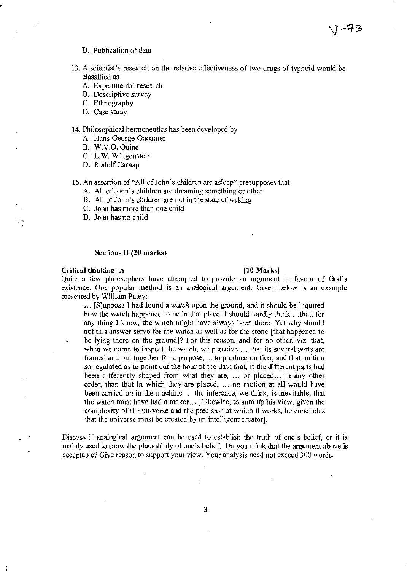## D. Publication of data

- 13. A scientist's research on the relative effectiveness of two drugs of typhoid would be classified as
	- A. Experimental research
	- B. Descriptive survey
	- C. Ethnography
	- D. Case study

## 14. Philosophical hermeneutics has been developed by

- A. Hans-George-Gadamer
- B. W.V.O. Quine
- C. L. W. Wittgenstein
- D. RudolfCamap
- 15. An assertion of "All of John's children are asleep" presupposes that
	- A. All of John's children are dreaming something or other
	- B. All of John's children are not in the state of waking
	- C. John has more than one child
	- D. John has no child

#### Section- II (20 marks)

## **Critical thinking: A** [10 Marks]

Quite a few philosophers have attempted to provide an argument in favour of God's existence. One popular method is an analogical argument. Given below is an example presented by William Paley:

... [S]uppose J had found a *watch* upon the ground, and it should be inquired how the watch happened to be in that place; I should hardly think ... that, for any thing I knew, the watch might have always been there. Yet why should not this answer serve for the watch as well as for the stone [that happened to be lying there on the ground]? For this reason, and for no other, viz. that, when we come to inspect the watch, we' perceive ... that its several parts are framed and put together for a purpose, ... to produce motion, and that motion so regulated as to point out the hour of the day; that, if the different parts had been differently shaped from what they are, ... or placed... in any other order, than that in which they are placed, ... no motion at all would have been carried on in the machine ... the inference, we think, is inevitable, that the watch must have had a maker... [Likewise, to sum up his view, given the complexity of the universe and the precision at which it works, he concludes that the universe must be created by an intelligent creator].

Discuss if analogical argument can be used to establish the truth of one's belief, or it is mainly used to show the plausibility of one's belief. Do you think that the argument above is acceptable? Give reason to support your view. Your analysis need not exceed 300 words.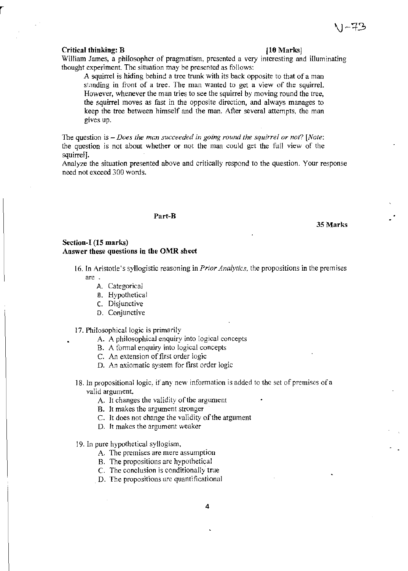#### **Critical thinking: B** [10 Marks]

William James, a philosopher of pragmatism, presented a very interesting and illuminating thought experiment. The situation may be presented as follows:

A squirrel is hiding behind a tree trunk with its back opposite to that of a man standing in front of a tree. The man wanted to get a view of the squirrel. However, whenever the man tries to see the squirrel by moving round the tree, the squirrel moves as fast in the opposite direction, and always manages to keep the tree between himself and the man. After several attempts, the man gives up.

The question is - *Does the man succeeded in going round the squirrel or not?* [Note: the question is not about whether or not the man could get the full view of the squirrel].

Analyze the situation presented above and critically respond to the question. Your response need not exceed 300 words.

#### **Part-B**

#### **35 Marks**

# **Section-I (15 marks) Answer these questions in the OMR sheet**

- 16.1n Aristotle's syllogistic reasoning in *Prior Analytics.* the propositions in the premises are.
	- A. Categorical
	- B. Hypothetical
	- C. Disjunctive
	- D. Conjunctive

17. Philosophical logic is primarily

- A. A philosophical enquiry into logical concepts
- B. A formal enquiry into logical concepts
- C. An extension of first order logic
- D. An axiomatic system for first order logic
- 18. In propositional logic, if any new information is added to the set of premises of a valid argument
	- A. It changes the validity of the argument
	- B. It makes the argument stronger
	- C. It does not change the validity of the argument
	- D. It makes the argument weaker
- 19.1n pure hypothetical syllogism.
	- A. The premises are mere assumption
	- B. The propositions are hypothetical
	- C. The conclusion is conditionally true
	- D. The propositions are quantificational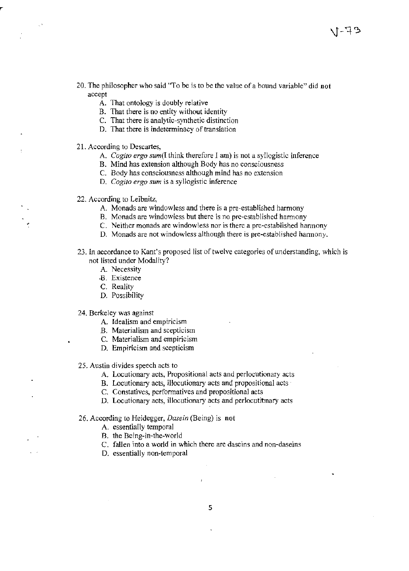- 20. The philosopher who said "To be is to be the value ofa bound variable" did **not**  accept
	- A. That ontology is doubly relative
	- B. That there is no entity without identity
	- C. That there is analytic-synthetic distinction
	- D. That there is indeterminacy of translation
- 21. According to Descartes,
	- A. *Cogito ergo sum(I* think therefore *I* am) is not a syllogistic inference
	- B. Mind has extension although Body has no consciousness
	- C. Body has consciousness although mind has no extension
	- D. *Cogito ergo sum* is a syllogistic inference
- 22. According to Leibnitz,
	- A. Monads are windowless and there is a pre-established harmony
	- B. Monads are windowless but there is no pre-established harmony
	- C. Neither monads are windowless nor is there a pre-established hannony
	- D. Monads are not windowless although there is pre-established harmony.
- 23. In accordance to Kant's proposed list of twelve categories of understanding, which is not listed under Modality?
	- A. Necessity
	- .8. Existence
	- C. Reality
	- D. Possibility

24. Berkeley was against

- A. Idealism and empiricism
- B. Materialism and scepticism
- C. Materialism and empiricism
- D. Empiricism and scepticism
- 25. Austin divides speech acts to
	- A. Locutionary acts, Propositional acts and perlocutionary acts
	- B. Locutionary acts, illocutionary acts and propositional acts
	- C. Constatives, perforrnatives and propositional acts
	- D. Locutionary acts, illocutionary acts and perlocutionary acts

#### 26. According to Heidegger, *Dasein* (Being) is **not**

- A. essentially temporal
- B. the Being-in-the-world
- C. fallen into a world in which there are daseins and non-daseins
- D. essentially non-temporal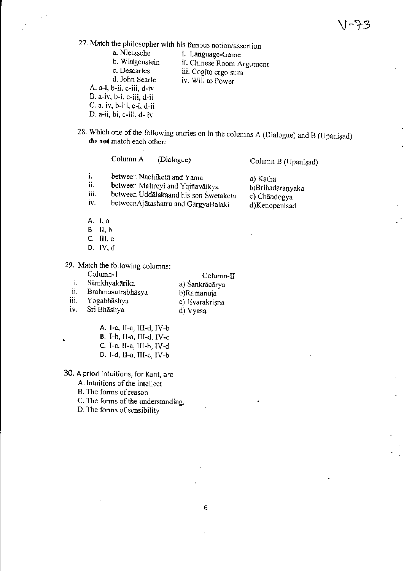27. Match the philosopher with his famous notion/assertion<br>a. Nietzsche i. Language-Game

a. Nietzsche i. Language-Game<br>b. Wittgenstein ii. Chinese Room A b. Wittgenstein ii. Chinese Room Argument<br>c. Descartes iii. Cooito ergo sum

c. Descartes iii. Cogito ergo sum<br>d. John Searle iv. Will to Power iv. Will to Power

A. a-i, b-ii, c-iii, d-iv

B. a-iv, b-i, c-iii, d-ii

- C. a. iv, b-iii, c-i, d-ii
- D. a-ii, bi, c-iii, d- iv
- 28. Which one of the following entries on in the columns  $A$  (Dialogue) and  $B$  (Upanisad) **do not** match each other:

|                          | Column A                   | (Dialogue)                                                                                                       | Column B (Upanisad)                                           |
|--------------------------|----------------------------|------------------------------------------------------------------------------------------------------------------|---------------------------------------------------------------|
| İ.<br>ii.<br>iii.<br>iv. | between Nachiketa and Yama | between Maitreyi and Yajñavälkya<br>between Uddalakaand his son Śwetaketu<br>betweenAjātashatru and GārgyaBalaki | a) Kathā<br>b)Brihadāranyaka<br>c) Chāndogya<br>d)Kenopanisad |
| A. I.a                   |                            |                                                                                                                  |                                                               |

- 
- B. II. b
- c. III. c
- D. IV. d

29. Match the following columns:

|      | Column-1          | $Column-II$     |
|------|-------------------|-----------------|
| i.   | Sāmkhyakārika     | a) Śankrācārya  |
| ii.  | Brahmasutrabhāsva | b)Rāmānuja      |
| iii. | Yogabhāshya       | c) Iśvarakrisna |
| iv.  | Sri Bhashya       | d) Vyāsa        |

- 
- A. I-c. II-a, III-d. IV-b
- B. I-b, II-a, III-d, IV-c
- c. I-c. II-a, III-b, IV-d
- D. I-d. II-a, III-c. IV-b

30. A priori intuitions, for Kant, are

A. Intuitions of the intellect

B. The forms of reason

C. The forms of the understanding.

D. The forms of sensibility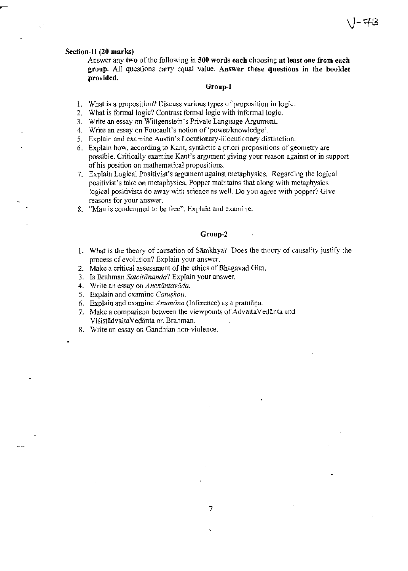# **Section-II (20 marks)**

Answer any **two** of the following in **500 words each** choosing **at least one from each group.** All questions carry equal value. **Answer these questions in the booklet provided.** 

### **Group-I**

- 1. What is a proposition? Discuss various types of proposition in logic.
- 2. What is formal logic? Contrast formal logic with informal logic.
- 3. Write an essay on Wittgenstein's Private Language Argument.
- 4. Write an essay on Foucault's notion of 'power/knowledge'.
- *S.* Explain and examine Austin's Locutionary-illocutionary distinction.
- 6. Explain how, according to Kant, synthetic a priori propositions of geometry are possible. Critically examine Kant's argument giving your reason against or in support of his position on mathematical propositions.
- 7. Explain Logical Positivist's argument against metaphysics. Regarding the logical positivist's take on metaphysics, Popper maintains that along with metaphysics logical positivists do away with science as well. Do you agree with popper? Give reasons for your answer.
- 8. "Man is condemned to be free". Explain and examine.

## **Group-2**

- 1. What is the theory of causation of Samkhya? Does the theory of causality justify the process of evolution? Explain your answer.
- 2. Make a critical assessment of the ethics of Bhagavad Gita.
- 3. Is Brahman *Satcitānanda*? Explain your answer.
- 4. Write an essay on *Anekāntavāda*.
- 5. Explain and examine Catuskoti.
- 6. Explain and examine *Anumana* (Inference) as a pramana.
- 7. Make a comparison between the viewpoints of AdvaitaVedanta and ViśișțādvaitaVedānta on Brahman.
- 8. Write an essay on Gandhian non-violence.